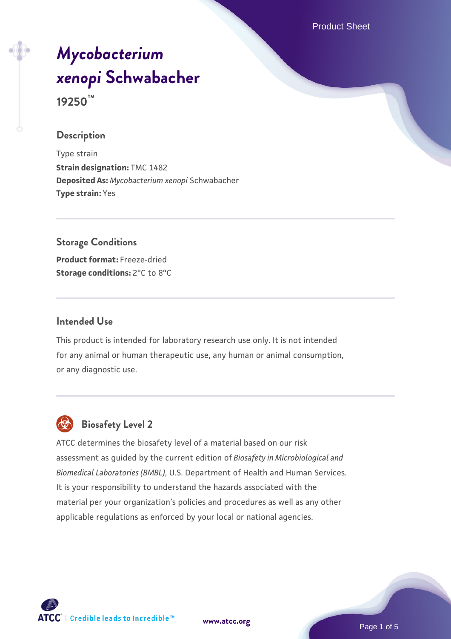Product Sheet

# *[Mycobacterium](https://www.atcc.org/products/19250) [xenopi](https://www.atcc.org/products/19250)* **[Schwabacher](https://www.atcc.org/products/19250) 19250™**

#### **Description**

Type strain **Strain designation:** TMC 1482 **Deposited As:** *Mycobacterium xenopi* Schwabacher **Type strain:** Yes

#### **Storage Conditions**

**Product format:** Freeze-dried **Storage conditions:** 2°C to 8°C

#### **Intended Use**

This product is intended for laboratory research use only. It is not intended for any animal or human therapeutic use, any human or animal consumption, or any diagnostic use.



## **Biosafety Level 2**

ATCC determines the biosafety level of a material based on our risk assessment as guided by the current edition of *Biosafety in Microbiological and Biomedical Laboratories (BMBL)*, U.S. Department of Health and Human Services. It is your responsibility to understand the hazards associated with the material per your organization's policies and procedures as well as any other applicable regulations as enforced by your local or national agencies.



**[www.atcc.org](http://www.atcc.org)**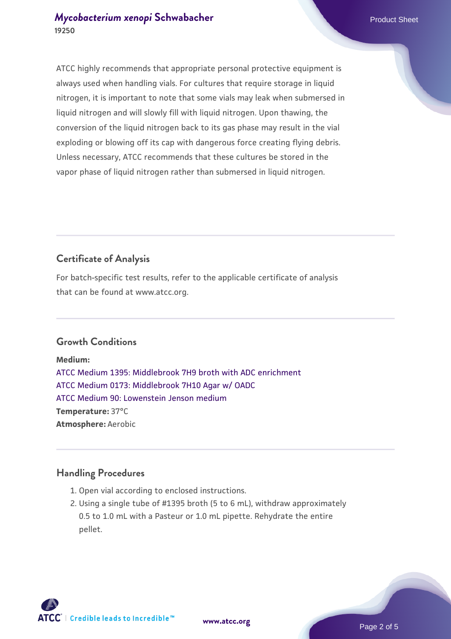ATCC highly recommends that appropriate personal protective equipment is always used when handling vials. For cultures that require storage in liquid nitrogen, it is important to note that some vials may leak when submersed in liquid nitrogen and will slowly fill with liquid nitrogen. Upon thawing, the conversion of the liquid nitrogen back to its gas phase may result in the vial exploding or blowing off its cap with dangerous force creating flying debris. Unless necessary, ATCC recommends that these cultures be stored in the vapor phase of liquid nitrogen rather than submersed in liquid nitrogen.

# **Certificate of Analysis**

For batch-specific test results, refer to the applicable certificate of analysis that can be found at www.atcc.org.

## **Growth Conditions**

**Medium:**  [ATCC Medium 1395: Middlebrook 7H9 broth with ADC enrichment](https://www.atcc.org/-/media/product-assets/documents/microbial-media-formulations/1/3/9/5/atcc-medium-1395.pdf?rev=83f84c8c9e994a71a2edb0458ff02218) [ATCC Medium 0173: Middlebrook 7H10 Agar w/ OADC](https://www.atcc.org/-/media/product-assets/documents/microbial-media-formulations/0/1/7/3/atcc-medium-0173.pdf?rev=2fcd87d0ebaf471d8aa6aba3758ef39f) [ATCC Medium 90: Lowenstein Jenson medium](https://www.atcc.org/-/media/product-assets/documents/microbial-media-formulations/9/0/atcc-medium-90.pdf?rev=2af45eec61614a8e9024c1519219fe34) **Temperature:** 37°C **Atmosphere:** Aerobic

## **Handling Procedures**

- 1. Open vial according to enclosed instructions.
- 2. Using a single tube of #1395 broth (5 to 6 mL), withdraw approximately 0.5 to 1.0 mL with a Pasteur or 1.0 mL pipette. Rehydrate the entire pellet.

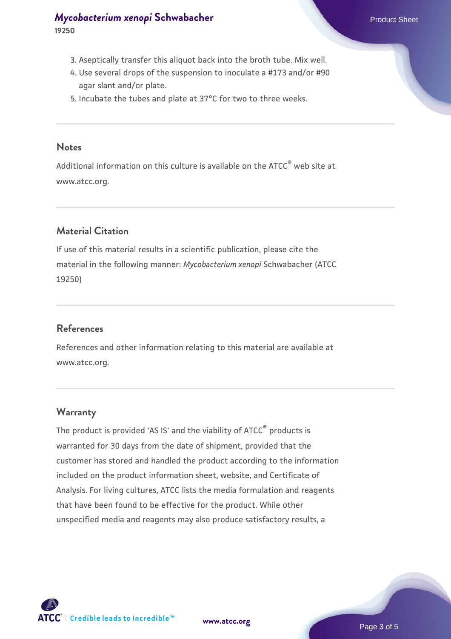- 3. Aseptically transfer this aliquot back into the broth tube. Mix well.
- 4. Use several drops of the suspension to inoculate a #173 and/or #90 agar slant and/or plate.
- 5. Incubate the tubes and plate at 37°C for two to three weeks.

#### **Notes**

Additional information on this culture is available on the ATCC® web site at www.atcc.org.

## **Material Citation**

If use of this material results in a scientific publication, please cite the material in the following manner: *Mycobacterium xenopi* Schwabacher (ATCC 19250)

## **References**

References and other information relating to this material are available at www.atcc.org.

#### **Warranty**

The product is provided 'AS IS' and the viability of ATCC® products is warranted for 30 days from the date of shipment, provided that the customer has stored and handled the product according to the information included on the product information sheet, website, and Certificate of Analysis. For living cultures, ATCC lists the media formulation and reagents that have been found to be effective for the product. While other unspecified media and reagents may also produce satisfactory results, a



**[www.atcc.org](http://www.atcc.org)**

Page 3 of 5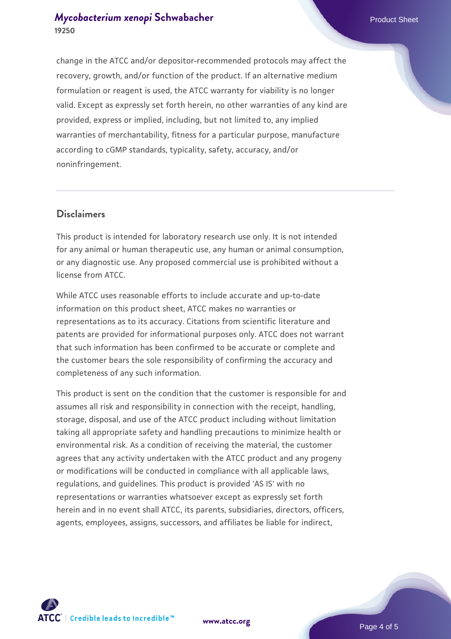change in the ATCC and/or depositor-recommended protocols may affect the recovery, growth, and/or function of the product. If an alternative medium formulation or reagent is used, the ATCC warranty for viability is no longer valid. Except as expressly set forth herein, no other warranties of any kind are provided, express or implied, including, but not limited to, any implied warranties of merchantability, fitness for a particular purpose, manufacture according to cGMP standards, typicality, safety, accuracy, and/or noninfringement.

## **Disclaimers**

This product is intended for laboratory research use only. It is not intended for any animal or human therapeutic use, any human or animal consumption, or any diagnostic use. Any proposed commercial use is prohibited without a license from ATCC.

While ATCC uses reasonable efforts to include accurate and up-to-date information on this product sheet, ATCC makes no warranties or representations as to its accuracy. Citations from scientific literature and patents are provided for informational purposes only. ATCC does not warrant that such information has been confirmed to be accurate or complete and the customer bears the sole responsibility of confirming the accuracy and completeness of any such information.

This product is sent on the condition that the customer is responsible for and assumes all risk and responsibility in connection with the receipt, handling, storage, disposal, and use of the ATCC product including without limitation taking all appropriate safety and handling precautions to minimize health or environmental risk. As a condition of receiving the material, the customer agrees that any activity undertaken with the ATCC product and any progeny or modifications will be conducted in compliance with all applicable laws, regulations, and guidelines. This product is provided 'AS IS' with no representations or warranties whatsoever except as expressly set forth herein and in no event shall ATCC, its parents, subsidiaries, directors, officers, agents, employees, assigns, successors, and affiliates be liable for indirect,